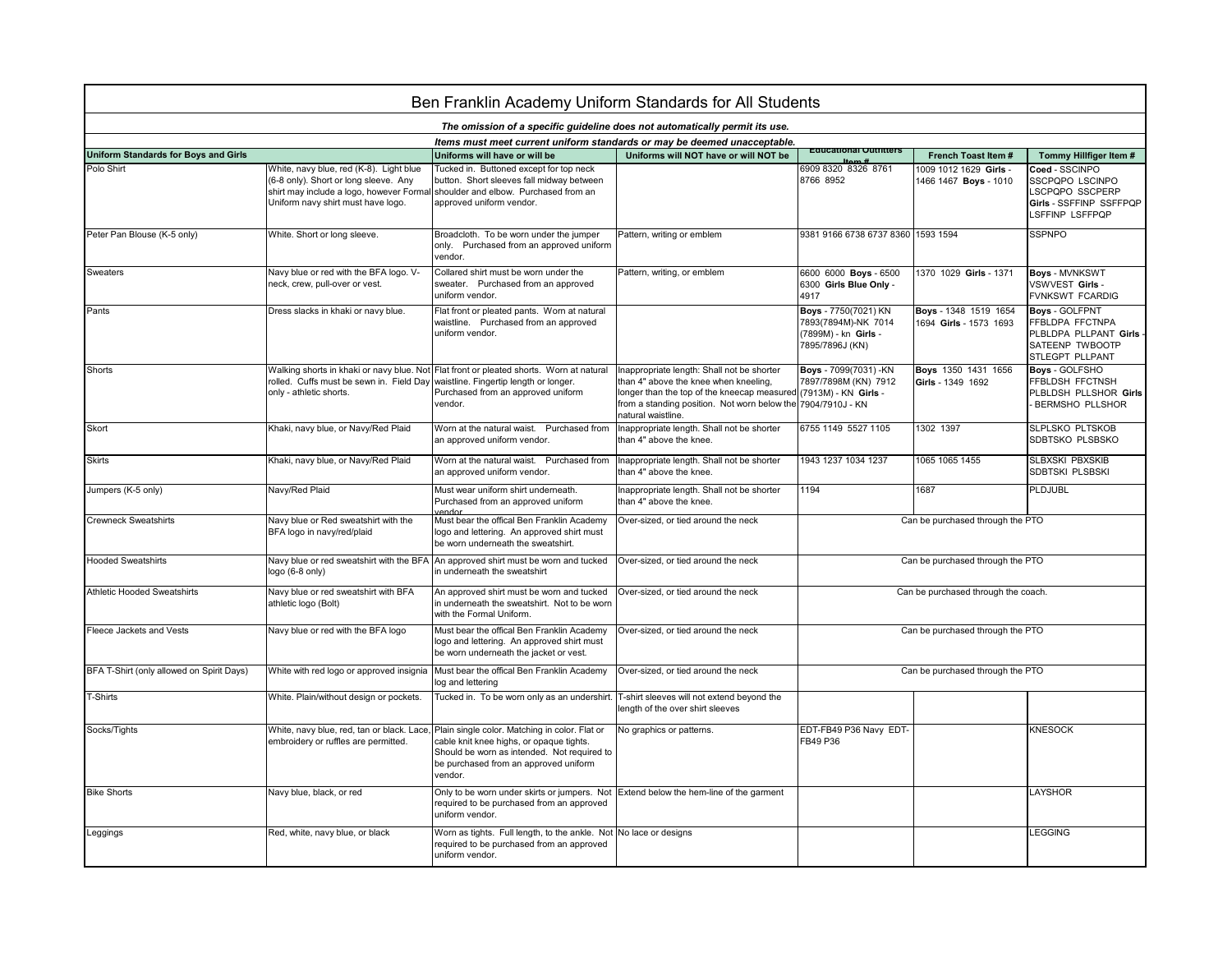| Ben Franklin Academy Uniform Standards for All Students                     |                                                                                                                                                                    |                                                                                                                                                                                               |                                                                                                                                                                                                                                               |                                                                                        |                                                 |                                                                                                           |  |  |  |  |  |
|-----------------------------------------------------------------------------|--------------------------------------------------------------------------------------------------------------------------------------------------------------------|-----------------------------------------------------------------------------------------------------------------------------------------------------------------------------------------------|-----------------------------------------------------------------------------------------------------------------------------------------------------------------------------------------------------------------------------------------------|----------------------------------------------------------------------------------------|-------------------------------------------------|-----------------------------------------------------------------------------------------------------------|--|--|--|--|--|
| The omission of a specific guideline does not automatically permit its use. |                                                                                                                                                                    |                                                                                                                                                                                               |                                                                                                                                                                                                                                               |                                                                                        |                                                 |                                                                                                           |  |  |  |  |  |
| Items must meet current uniform standards or may be deemed unacceptable.    |                                                                                                                                                                    |                                                                                                                                                                                               |                                                                                                                                                                                                                                               |                                                                                        |                                                 |                                                                                                           |  |  |  |  |  |
| <b>Uniform Standards for Boys and Girls</b>                                 |                                                                                                                                                                    | Uniforms will have or will be                                                                                                                                                                 | Uniforms will NOT have or will NOT be                                                                                                                                                                                                         | <b>Equcational Outflitters</b>                                                         | French Toast Item #                             | Tommy Hillfiger Item #                                                                                    |  |  |  |  |  |
| Polo Shirt                                                                  | White, navy blue, red (K-8). Light blue<br>(6-8 only). Short or long sleeve. Any<br>shirt may include a logo, however Formal<br>Uniform navy shirt must have logo. | Tucked in. Buttoned except for top neck<br>button. Short sleeves fall midway between<br>shoulder and elbow. Purchased from an<br>approved uniform vendor.                                     |                                                                                                                                                                                                                                               | 6909 8320 8326 8761<br>8766 8952                                                       | 1009 1012 1629 Girls -<br>1466 1467 Boys - 1010 | Coed - SSCINPO<br>SSCPQPO LSCINPO<br>LSCPQPO SSCPERP<br>Girls - SSFFINP SSFFPQP<br>LSFFINP LSFFPQP        |  |  |  |  |  |
| Peter Pan Blouse (K-5 only)                                                 | White. Short or long sleeve.                                                                                                                                       | Broadcloth. To be worn under the jumper<br>only. Purchased from an approved uniform<br>vendor.                                                                                                | Pattern, writing or emblem                                                                                                                                                                                                                    | 9381 9166 6738 6737 8360 1593 1594                                                     |                                                 | <b>SSPNPO</b>                                                                                             |  |  |  |  |  |
| Sweaters                                                                    | Navy blue or red with the BFA logo. V-<br>neck, crew, pull-over or vest.                                                                                           | Collared shirt must be worn under the<br>sweater. Purchased from an approved<br>uniform vendor.                                                                                               | Pattern, writing, or emblem                                                                                                                                                                                                                   | 6600 6000 Boys - 6500<br>6300 Girls Blue Only -<br>4917                                | 1370 1029 Girls - 1371                          | <b>Boys - MVNKSWT</b><br>VSWVEST Girls -<br>FVNKSWT FCARDIG                                               |  |  |  |  |  |
| Pants                                                                       | Dress slacks in khaki or navy blue.                                                                                                                                | Flat front or pleated pants. Worn at natural<br>waistline. Purchased from an approved<br>uniform vendor.                                                                                      |                                                                                                                                                                                                                                               | Boys - 7750(7021) KN<br>7893(7894M)-NK 7014<br>(7899M) - kn Girls -<br>7895/7896J (KN) | Boys - 1348 1519 1654<br>1694 Girls - 1573 1693 | <b>Boys - GOLFPNT</b><br>FFBLDPA FFCTNPA<br>PLBLDPA PLLPANT Girls -<br>SATEENP TWBOOTP<br>STLEGPT PLLPANT |  |  |  |  |  |
| Shorts                                                                      | Walking shorts in khaki or navy blue. Not<br>rolled. Cuffs must be sewn in. Field Day<br>only - athletic shorts.                                                   | Flat front or pleated shorts. Worn at natural<br>waistline. Fingertip length or longer.<br>Purchased from an approved uniform<br>vendor.                                                      | Inappropriate length: Shall not be shorter<br>than 4" above the knee when kneeling,<br>longer than the top of the kneecap measured (7913M) - KN Girls -<br>from a standing position. Not worn below the 7904/7910J - KN<br>natural waistline. | Boys - 7099(7031) -KN<br>7897/7898M (KN) 7912                                          | Boys 1350 1431 1656<br>Girls - 1349 1692        | Boys - GOLFSHO<br>FFBLDSH FFCTNSH<br>PLBLDSH PLLSHOR Girls<br><b>BERMSHO PLLSHOR</b>                      |  |  |  |  |  |
| Skort                                                                       | Khaki, navy blue, or Navy/Red Plaid                                                                                                                                | Worn at the natural waist. Purchased from<br>an approved uniform vendor.                                                                                                                      | Inappropriate length. Shall not be shorter<br>than 4" above the knee.                                                                                                                                                                         | 6755 1149 5527 1105                                                                    | 1302 1397                                       | SLPLSKO PLTSKOB<br>SDBTSKO PLSBSKO                                                                        |  |  |  |  |  |
| <b>Skirts</b>                                                               | Khaki, navy blue, or Navy/Red Plaid                                                                                                                                | Worn at the natural waist. Purchased from<br>an approved uniform vendor.                                                                                                                      | Inappropriate length. Shall not be shorter<br>than 4" above the knee.                                                                                                                                                                         | 1943 1237 1034 1237                                                                    | 1065 1065 1455                                  | SLBXSKI PBXSKIB<br>SDBTSKI PLSBSKI                                                                        |  |  |  |  |  |
| Jumpers (K-5 only)                                                          | Navy/Red Plaid                                                                                                                                                     | Must wear uniform shirt underneath.<br>Purchased from an approved uniform                                                                                                                     | Inappropriate length. Shall not be shorter<br>than 4" above the knee.                                                                                                                                                                         | 1194                                                                                   | 1687                                            | PLDJUBL                                                                                                   |  |  |  |  |  |
| <b>Crewneck Sweatshirts</b>                                                 | Navy blue or Red sweatshirt with the<br>BFA logo in navy/red/plaid                                                                                                 | Must bear the offical Ben Franklin Academy<br>logo and lettering. An approved shirt must<br>be worn underneath the sweatshirt.                                                                | Over-sized, or tied around the neck                                                                                                                                                                                                           | Can be purchased through the PTO                                                       |                                                 |                                                                                                           |  |  |  |  |  |
| <b>Hooded Sweatshirts</b>                                                   | Navy blue or red sweatshirt with the BFA<br>ogo (6-8 only)                                                                                                         | An approved shirt must be worn and tucked<br>in underneath the sweatshirt                                                                                                                     | Over-sized, or tied around the neck                                                                                                                                                                                                           | Can be purchased through the PTO                                                       |                                                 |                                                                                                           |  |  |  |  |  |
| <b>Athletic Hooded Sweatshirts</b>                                          | Navy blue or red sweatshirt with BFA<br>athletic logo (Bolt)                                                                                                       | An approved shirt must be worn and tucked<br>in underneath the sweatshirt. Not to be worn<br>with the Formal Uniform.                                                                         | Over-sized, or tied around the neck                                                                                                                                                                                                           | Can be purchased through the coach.                                                    |                                                 |                                                                                                           |  |  |  |  |  |
| Fleece Jackets and Vests                                                    | Navy blue or red with the BFA logo                                                                                                                                 | Must bear the offical Ben Franklin Academy<br>logo and lettering. An approved shirt must<br>be worn underneath the jacket or vest.                                                            | Over-sized, or tied around the neck                                                                                                                                                                                                           | Can be purchased through the PTO                                                       |                                                 |                                                                                                           |  |  |  |  |  |
| BFA T-Shirt (only allowed on Spirit Days)                                   | White with red logo or approved insignia                                                                                                                           | Must bear the offical Ben Franklin Academy<br>log and lettering                                                                                                                               | Over-sized, or tied around the neck                                                                                                                                                                                                           | Can be purchased through the PTO                                                       |                                                 |                                                                                                           |  |  |  |  |  |
| <b>-Shirts</b>                                                              | White. Plain/without design or pockets.                                                                                                                            | Tucked in. To be worn only as an undershirt.                                                                                                                                                  | T-shirt sleeves will not extend beyond the<br>length of the over shirt sleeves                                                                                                                                                                |                                                                                        |                                                 |                                                                                                           |  |  |  |  |  |
| Socks/Tights                                                                | White, navy blue, red, tan or black. Lace,<br>embroidery or ruffles are permitted.                                                                                 | Plain single color. Matching in color. Flat or<br>cable knit knee highs, or opaque tights.<br>Should be worn as intended. Not required to<br>be purchased from an approved uniform<br>vendor. | No graphics or patterns.                                                                                                                                                                                                                      | EDT-FB49 P36 Navy EDT-<br>FB49 P36                                                     |                                                 | <b>KNESOCK</b>                                                                                            |  |  |  |  |  |
| <b>Bike Shorts</b>                                                          | Navy blue, black, or red                                                                                                                                           | Only to be worn under skirts or jumpers. Not<br>required to be purchased from an approved<br>uniform vendor.                                                                                  | Extend below the hem-line of the garment                                                                                                                                                                                                      |                                                                                        |                                                 | LAYSHOR                                                                                                   |  |  |  |  |  |
| Leggings                                                                    | Red, white, navy blue, or black                                                                                                                                    | Worn as tights. Full length, to the ankle. Not<br>required to be purchased from an approved<br>uniform vendor.                                                                                | No lace or designs                                                                                                                                                                                                                            |                                                                                        |                                                 | <b>LEGGING</b>                                                                                            |  |  |  |  |  |